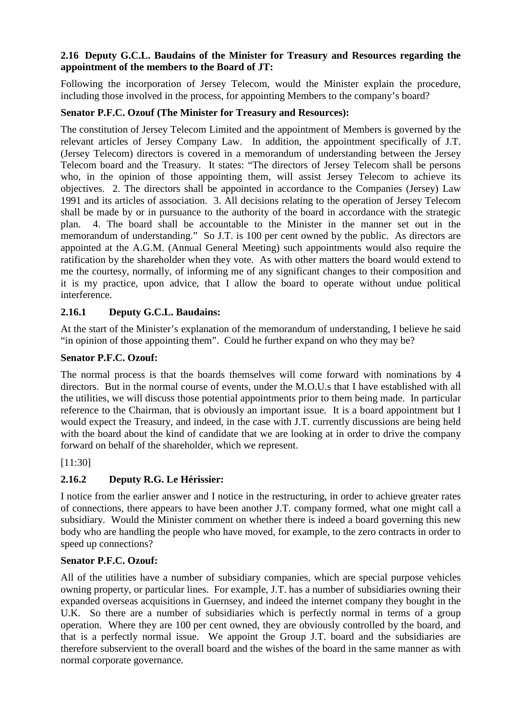#### **2.16 Deputy G.C.L. Baudains of the Minister for Treasury and Resources regarding the appointment of the members to the Board of JT:**

Following the incorporation of Jersey Telecom, would the Minister explain the procedure, including those involved in the process, for appointing Members to the company's board?

# **Senator P.F.C. Ozouf (The Minister for Treasury and Resources):**

The constitution of Jersey Telecom Limited and the appointment of Members is governed by the relevant articles of Jersey Company Law. In addition, the appointment specifically of J.T. (Jersey Telecom) directors is covered in a memorandum of understanding between the Jersey Telecom board and the Treasury. It states: "The directors of Jersey Telecom shall be persons who, in the opinion of those appointing them, will assist Jersey Telecom to achieve its objectives. 2. The directors shall be appointed in accordance to the Companies (Jersey) Law 1991 and its articles of association. 3. All decisions relating to the operation of Jersey Telecom shall be made by or in pursuance to the authority of the board in accordance with the strategic plan. 4. The board shall be accountable to the Minister in the manner set out in the memorandum of understanding." So J.T. is 100 per cent owned by the public. As directors are appointed at the A.G.M. (Annual General Meeting) such appointments would also require the ratification by the shareholder when they vote. As with other matters the board would extend to me the courtesy, normally, of informing me of any significant changes to their composition and it is my practice, upon advice, that I allow the board to operate without undue political interference.

# **2.16.1 Deputy G.C.L. Baudains:**

At the start of the Minister's explanation of the memorandum of understanding, I believe he said "in opinion of those appointing them". Could he further expand on who they may be?

## **Senator P.F.C. Ozouf:**

The normal process is that the boards themselves will come forward with nominations by 4 directors. But in the normal course of events, under the M.O.U.s that I have established with all the utilities, we will discuss those potential appointments prior to them being made. In particular reference to the Chairman, that is obviously an important issue. It is a board appointment but I would expect the Treasury, and indeed, in the case with J.T. currently discussions are being held with the board about the kind of candidate that we are looking at in order to drive the company forward on behalf of the shareholder, which we represent.

## [11:30]

# **2.16.2 Deputy R.G. Le Hérissier:**

I notice from the earlier answer and I notice in the restructuring, in order to achieve greater rates of connections, there appears to have been another J.T. company formed, what one might call a subsidiary. Would the Minister comment on whether there is indeed a board governing this new body who are handling the people who have moved, for example, to the zero contracts in order to speed up connections?

## **Senator P.F.C. Ozouf:**

All of the utilities have a number of subsidiary companies, which are special purpose vehicles owning property, or particular lines. For example, J.T. has a number of subsidiaries owning their expanded overseas acquisitions in Guernsey, and indeed the internet company they bought in the U.K. So there are a number of subsidiaries which is perfectly normal in terms of a group operation. Where they are 100 per cent owned, they are obviously controlled by the board, and that is a perfectly normal issue. We appoint the Group J.T. board and the subsidiaries are therefore subservient to the overall board and the wishes of the board in the same manner as with normal corporate governance.